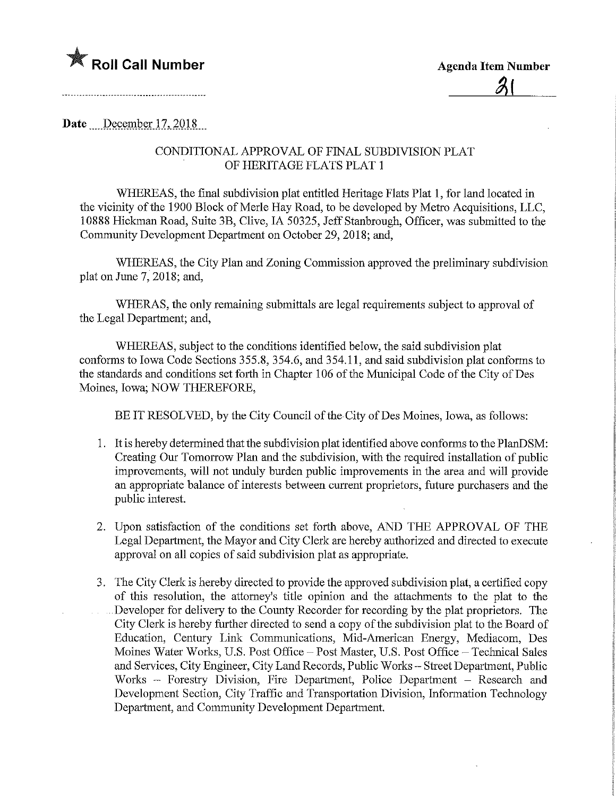## **Agenda Item Number** Agenda Item Number

Date December 17, 2018

## CONDITIONAL APPROVAL OF FINAL SUBDIVISION PLAT OF HERITAGE FLATS PLAT 1

WHEREAS, the final subdivision plat entitled Heritage Flats Plat 1, for land located in the vicinity of the 1900 Block of Merle Hay Road, to be developed by Metro Acquisitions, LLC, 10888 Hickman Road, Suite 3B, Clive, IA 50325, Jeff Stanbrough, Officer, was submitted to the Community Development Department on October 29, 2018; and,

WHEREAS, the City Plan and Zoning Commission approved the preliminary subdivision plat on June 7, 2018; and,

WHERAS, the only remaining submittals are legal requirements subject to approval of the Legal Department; and,

WHEREAS, subject to the conditions identified below, the said subdivision plat conforms to Iowa Code Sections 355.8, 354.6, and 354.11, and said subdivision plat conforms to the standards and conditions set forth in Chapter 106 of the Municipal Code of the City of Des Moines, Iowa; NOW THEREFORE,

BE IT RESOLVED, by the City Council of the City of Des Moines, Iowa, as follows:

- 1. It is hereby determined that the subdivision plat identified above conforms to the PlanDSM: Creating Our Tomorrow Plan and the subdivision, with the required installation of public improvements, will not unduly burden public improvements in the area and will provide an appropriate balance of interests between current proprietors, future purchasers and the public interest.
- 2. Upon satisfaction of the conditions set forth above, AND THE APPROVAL OF THE Legal Department, the Mayor and City Clerk are hereby authorized and directed to execute approval on all copies of said subdivision plat as appropriate.
- 3. The City Clerk is hereby directed to provide the approved subdivision plat, a certified copy of this resolution, the attorney's title opinion and the attachments to the plat to the Developer for delivery to the County Recorder for recording by the plat proprietors. The City Clerk is hereby further directed to send a copy of the subdivision plat to the Board of Education, Century Link Communications, Mid-American Energy, Mediacom, Des Moines Water Works, U.S. Post Office - Post Master, U.S. Post Office - Technical Sales and Services, City Engineer, City Land Records, Public Works - Street Department, Public Works - Forestry Division, Fire Department, Police Department - Research and Development Section, City Traffic and Transportation Division, Information Technology Department, and Community Development Department.